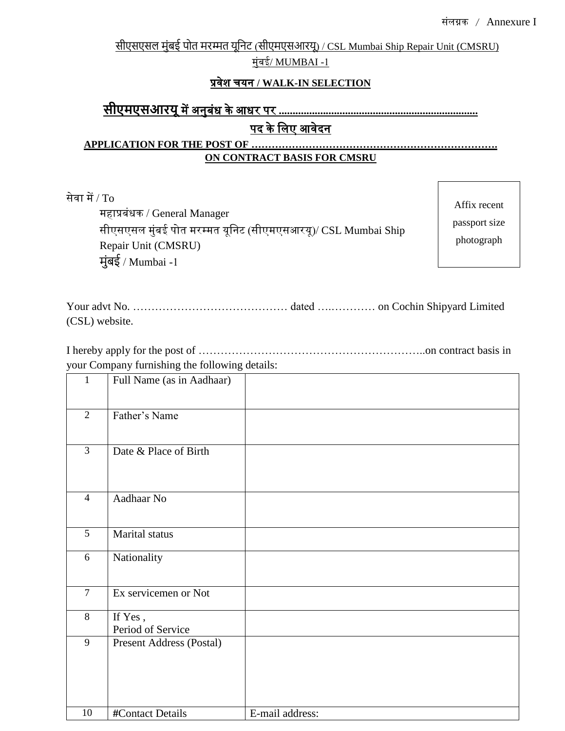# <u>सीएसएसल मुंबई पोत मरम्मत यूनिट (सीएमएसआरयू) / CSL Mumbai Ship Repair Unit (CMSRU)</u>  $\frac{1}{2}$ बई/MUMBAI -1

# प्रवेश चयन **/ WALK-IN SELECTION**

# **सीएमएसआरयू**मेंअन बुंध केआधर पर **........................................................................** पद केलिए आवेदन

#### **APPLICATION FOR THE POST OF ………………………………………………………………. ON CONTRACT BASIS FOR CMSRU**

सेवा में/ To

महाप्रबुंधक / General Manager सीएसएसल मुंबई पोत मरम्मत यूनिट (सीएमएसआरयू)/ CSL Mumbai Ship Repair Unit (CMSRU) म ुंबई / Mumbai -1

Affix recent

passport size

photograph

Your advt No. …………………………………… dated ….………… on Cochin Shipyard Limited (CSL) website.

I hereby apply for the post of ……………………………………………………..on contract basis in your Company furnishing the following details:

| $\mathbf{1}$   | Full Name (as in Aadhaar)    |                 |
|----------------|------------------------------|-----------------|
| $\overline{2}$ | Father's Name                |                 |
| $\overline{3}$ | Date & Place of Birth        |                 |
| $\overline{4}$ | Aadhaar No                   |                 |
| 5              | Marital status               |                 |
| 6              | Nationality                  |                 |
| $\overline{7}$ | Ex servicemen or Not         |                 |
| $\overline{8}$ | If Yes,<br>Period of Service |                 |
| 9              | Present Address (Postal)     |                 |
| 10             | #Contact Details             | E-mail address: |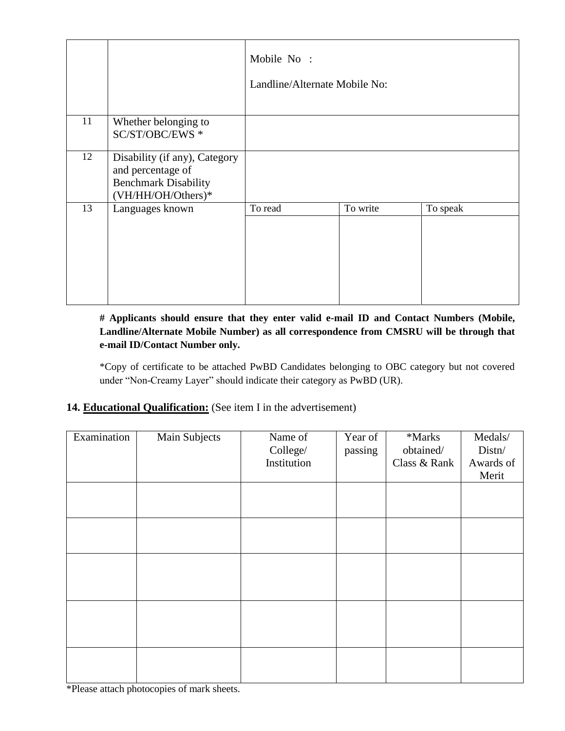|    |                                                                                                         | Mobile No:<br>Landline/Alternate Mobile No: |          |          |  |
|----|---------------------------------------------------------------------------------------------------------|---------------------------------------------|----------|----------|--|
| 11 | Whether belonging to<br>SC/ST/OBC/EWS *                                                                 |                                             |          |          |  |
| 12 | Disability (if any), Category<br>and percentage of<br><b>Benchmark Disability</b><br>(VH/HH/OH/Others)* |                                             |          |          |  |
| 13 | Languages known                                                                                         | To read                                     | To write | To speak |  |

#### **# Applicants should ensure that they enter valid e-mail ID and Contact Numbers (Mobile, Landline/Alternate Mobile Number) as all correspondence from CMSRU will be through that e-mail ID/Contact Number only.**

\*Copy of certificate to be attached PwBD Candidates belonging to OBC category but not covered under "Non-Creamy Layer" should indicate their category as PwBD (UR).

### **14. Educational Qualification:** (See item I in the advertisement)

| Examination | Main Subjects | Name of<br>College/<br>Institution | Year of<br>passing | *Marks<br>obtained/<br>Class & Rank | Medals/<br>Distn/<br>Awards of<br>Merit |
|-------------|---------------|------------------------------------|--------------------|-------------------------------------|-----------------------------------------|
|             |               |                                    |                    |                                     |                                         |
|             |               |                                    |                    |                                     |                                         |
|             |               |                                    |                    |                                     |                                         |
|             |               |                                    |                    |                                     |                                         |
|             |               |                                    |                    |                                     |                                         |

\*Please attach photocopies of mark sheets.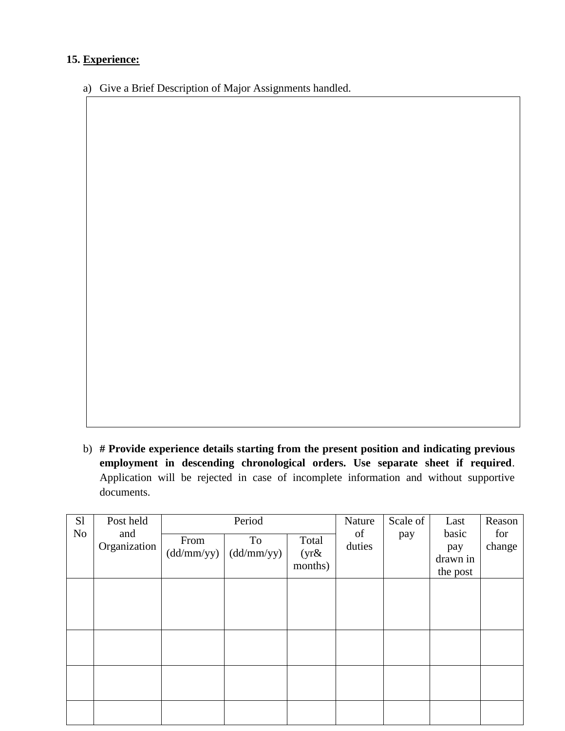## **15. Experience:**

a) Give a Brief Description of Major Assignments handled.

b) **# Provide experience details starting from the present position and indicating previous employment in descending chronological orders. Use separate sheet if required**. Application will be rejected in case of incomplete information and without supportive documents.

| S1 | Post held           |                    | Period           |                             | Nature              | Scale of                             | Last          | Reason |
|----|---------------------|--------------------|------------------|-----------------------------|---------------------|--------------------------------------|---------------|--------|
| No | and<br>Organization | From<br>(dd/mm/yy) | To<br>(dd/mm/yy) | Total<br>$(yr\&$<br>months) | of<br>pay<br>duties | basic<br>pay<br>drawn in<br>the post | for<br>change |        |
|    |                     |                    |                  |                             |                     |                                      |               |        |
|    |                     |                    |                  |                             |                     |                                      |               |        |
|    |                     |                    |                  |                             |                     |                                      |               |        |
|    |                     |                    |                  |                             |                     |                                      |               |        |